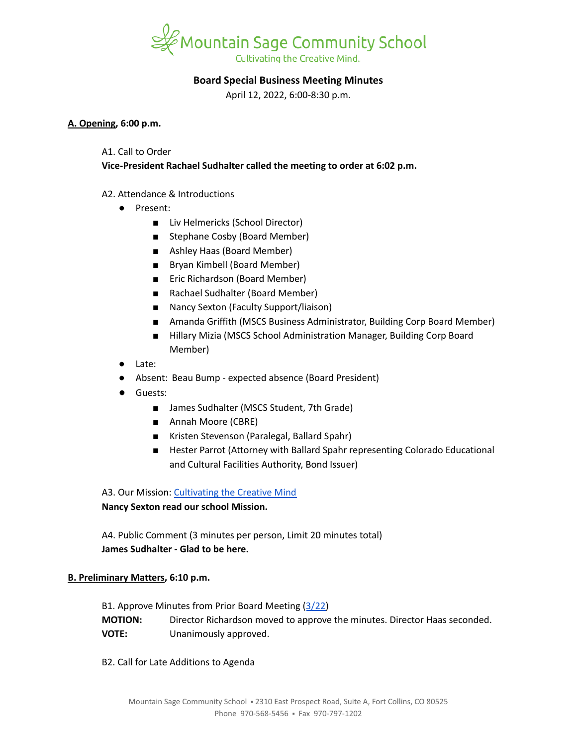

# **Board Special Business Meeting Minutes**

April 12, 2022, 6:00-8:30 p.m.

## **A. Opening, 6:00 p.m.**

## A1. Call to Order

**Vice-President Rachael Sudhalter called the meeting to order at 6:02 p.m.**

# A2. Attendance & Introductions

- Present:
	- Liv Helmericks (School Director)
	- Stephane Cosby (Board Member)
	- Ashley Haas (Board Member)
	- Bryan Kimbell (Board Member)
	- Eric Richardson (Board Member)
	- Rachael Sudhalter (Board Member)
	- Nancy Sexton (Faculty Support/liaison)
	- Amanda Griffith (MSCS Business Administrator, Building Corp Board Member)
	- Hillary Mizia (MSCS School Administration Manager, Building Corp Board Member)
- Late:
- Absent: Beau Bump expected absence (Board President)
- Guests:
	- James Sudhalter (MSCS Student, 7th Grade)
	- Annah Moore (CBRE)
	- Kristen Stevenson (Paralegal, Ballard Spahr)
	- Hester Parrot (Attorney with Ballard Spahr representing Colorado Educational and Cultural Facilities Authority, Bond Issuer)

A3. Our Mission: [Cultivating](https://www.mountainsage.org/about-us/mission-and-vision/) the Creative Mind

# **Nancy Sexton read our school Mission.**

A4. Public Comment (3 minutes per person, Limit 20 minutes total) **James Sudhalter - Glad to be here.**

# **B. Preliminary Matters, 6:10 p.m.**

B1. Approve Minutes from Prior Board Meeting ([3/22\)](https://docs.google.com/document/d/1F1MbWI7N7oizozGxjPFYsyF9rdm6Zwi3Kwx3Aj0LN-o/edit?usp=sharing) **MOTION:** Director Richardson moved to approve the minutes. Director Haas seconded. **VOTE:** Unanimously approved.

B2. Call for Late Additions to Agenda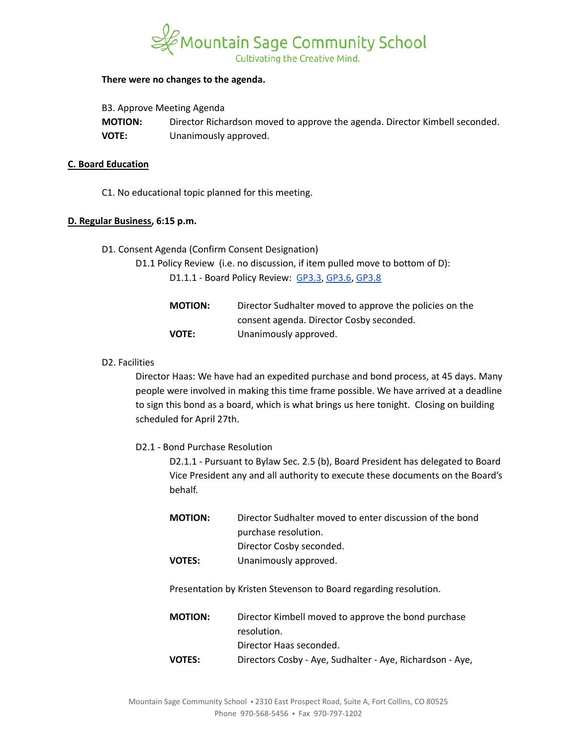

### **There were no changes to the agenda.**

|  |  | B3. Approve Meeting Agenda |
|--|--|----------------------------|
|--|--|----------------------------|

| <b>MOTION:</b> | Director Richardson moved to approve the agenda. Director Kimbell seconded. |
|----------------|-----------------------------------------------------------------------------|
| VOTE:          | Unanimously approved.                                                       |

### **C. Board Education**

C1. No educational topic planned for this meeting.

#### **D. Regular Business, 6:15 p.m.**

- D1. Consent Agenda (Confirm Consent Designation)
	- D1.1 Policy Review (i.e. no discussion, if item pulled move to bottom of D): D1.1.1 - Board Policy Review: [GP3.3](https://docs.google.com/document/d/1rCNyuUn-oRMQUnt7UX3Ur8rkx1Y8x7-CkbfRWeG56kU), [GP3.6,](https://docs.google.com/document/d/11NzhXxu-XWrxSQOlW5v21SskME9k9GRrxaxm508bP5I/edit) [GP3.8](https://docs.google.com/document/d/1jQ-h_nZxYr44jzisoAamCD-ZTlqzI_RwpOrxd1MbjgY/edit)

| <b>MOTION:</b> | Director Sudhalter moved to approve the policies on the |
|----------------|---------------------------------------------------------|
|                | consent agenda. Director Cosby seconded.                |
| <b>VOTE:</b>   | Unanimously approved.                                   |

### D2. Facilities

Director Haas: We have had an expedited purchase and bond process, at 45 days. Many people were involved in making this time frame possible. We have arrived at a deadline to sign this bond as a board, which is what brings us here tonight. Closing on building scheduled for April 27th.

#### D2.1 - Bond Purchase Resolution

D2.1.1 - Pursuant to Bylaw Sec. 2.5 (b), Board President has delegated to Board Vice President any and all authority to execute these documents on the Board's behalf.

| <b>MOTION:</b> | Director Sudhalter moved to enter discussion of the bond |
|----------------|----------------------------------------------------------|
|                | purchase resolution.                                     |
|                | Director Cosby seconded.                                 |
| <b>VOTES:</b>  | Unanimously approved.                                    |

Presentation by Kristen Stevenson to Board regarding resolution.

| <b>MOTION:</b> | Director Kimbell moved to approve the bond purchase       |
|----------------|-----------------------------------------------------------|
|                | resolution.                                               |
|                | Director Haas seconded.                                   |
| <b>VOTES:</b>  | Directors Cosby - Aye, Sudhalter - Aye, Richardson - Aye, |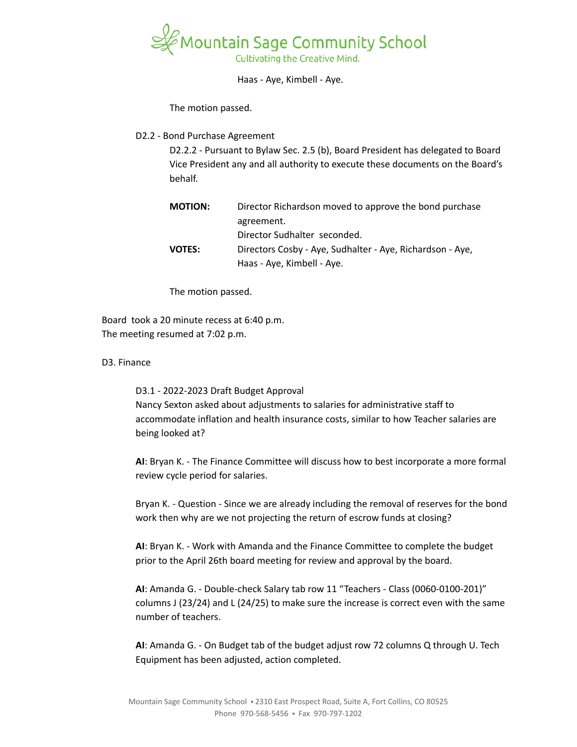

Haas - Aye, Kimbell - Aye.

The motion passed.

## D2.2 - Bond Purchase Agreement

D2.2.2 - Pursuant to Bylaw Sec. 2.5 (b), Board President has delegated to Board Vice President any and all authority to execute these documents on the Board's behalf.

| <b>MOTION:</b> | Director Richardson moved to approve the bond purchase    |
|----------------|-----------------------------------------------------------|
|                | agreement.                                                |
|                | Director Sudhalter seconded.                              |
| VOTES:         | Directors Cosby - Aye, Sudhalter - Aye, Richardson - Aye, |
|                | Haas - Aye, Kimbell - Aye.                                |

The motion passed.

Board took a 20 minute recess at 6:40 p.m. The meeting resumed at 7:02 p.m.

D3. Finance

D3.1 - 2022-2023 Draft Budget Approval Nancy Sexton asked about adjustments to salaries for administrative staff to accommodate inflation and health insurance costs, similar to how Teacher salaries are being looked at?

**AI**: Bryan K. - The Finance Committee will discuss how to best incorporate a more formal review cycle period for salaries.

Bryan K. - Question - Since we are already including the removal of reserves for the bond work then why are we not projecting the return of escrow funds at closing?

**AI**: Bryan K. - Work with Amanda and the Finance Committee to complete the budget prior to the April 26th board meeting for review and approval by the board.

**AI**: Amanda G. - Double-check Salary tab row 11 "Teachers - Class (0060-0100-201)" columns J (23/24) and L (24/25) to make sure the increase is correct even with the same number of teachers.

**AI**: Amanda G. - On Budget tab of the budget adjust row 72 columns Q through U. Tech Equipment has been adjusted, action completed.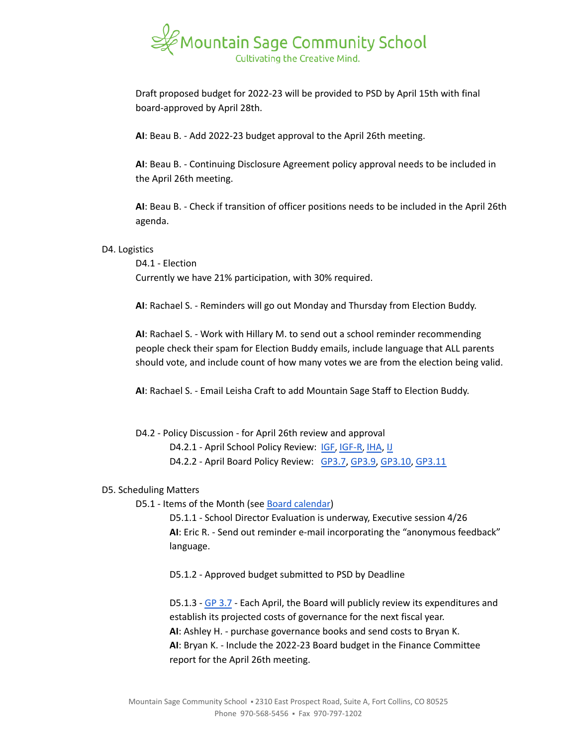

Draft proposed budget for 2022-23 will be provided to PSD by April 15th with final board-approved by April 28th.

**AI**: Beau B. - Add 2022-23 budget approval to the April 26th meeting.

**AI**: Beau B. - Continuing Disclosure Agreement policy approval needs to be included in the April 26th meeting.

**AI**: Beau B. - Check if transition of officer positions needs to be included in the April 26th agenda.

## D4. Logistics

D4.1 - Election Currently we have 21% participation, with 30% required.

**AI**: Rachael S. - Reminders will go out Monday and Thursday from Election Buddy.

**AI**: Rachael S. - Work with Hillary M. to send out a school reminder recommending people check their spam for Election Buddy emails, include language that ALL parents should vote, and include count of how many votes we are from the election being valid.

**AI**: Rachael S. - Email Leisha Craft to add Mountain Sage Staff to Election Buddy.

D4.2 - Policy Discussion - for April 26th review and approval

D4.2.1 - April School Policy Review: [IGF](https://drive.google.com/open?id=1YBuMipv4-8akEC1rjji4WdzpHc0a9nuVUP8uPDaN7w8), [IGF-R](https://drive.google.com/open?id=1miaI655qSVx0mkoge_Ogf0wfQe_WHysQOHWy3E8vP_4), [IHA](https://drive.google.com/open?id=1rMNshX07qFv68v2FzhCZDtcOTvdvQ8-phi6XyMGnv2A), [IJ](https://drive.google.com/open?id=16Apta1Nk1rBYb8051Ha-6trPXjppnsisQfkh4iU4n5I)

D4.2.2 - April Board Policy Review: [GP3.7](https://docs.google.com/document/d/1373qt1YXZKad8EZGuCRW_oa8Xcf6y9CN5zuFsCV0s18/edit), [GP3.9,](https://docs.google.com/document/d/1i6NGBbxZjvcmJUjud0bdBKC2Fh_S0Oz7ohEMe_sz_Lk/edit) [GP3.10](https://docs.google.com/document/d/1SlF3cHVQfU9alRa-s9YSLYbjkR3MyXITu4wVCfhZyuU/edit), [GP3.11](https://docs.google.com/document/d/1wBiDP8kqKlyJ4ohM3_tg5_pp2Uy8FXx9msG9Vqy2trM/edit)

### D5. Scheduling Matters

D5.1 - Items of the Month (see Board [calendar\)](https://docs.google.com/document/d/12S6s-qevYMsnj8Cr2yw6uMO7S7hL3gz2oKvXZk5ZndQ/edit?usp=sharing)

D5.1.1 - School Director Evaluation is underway, Executive session 4/26 **AI**: Eric R. - Send out reminder e-mail incorporating the "anonymous feedback" language.

D5.1.2 - Approved budget submitted to PSD by Deadline

D5.1.3 - GP [3.7](https://drive.google.com/file/d/19x5OoWO_g9U5QiqeLzxehwurZVRhz0zs/view) - Each April, the Board will publicly review its expenditures and establish its projected costs of governance for the next fiscal year. **AI**: Ashley H. - purchase governance books and send costs to Bryan K. **AI**: Bryan K. - Include the 2022-23 Board budget in the Finance Committee report for the April 26th meeting.